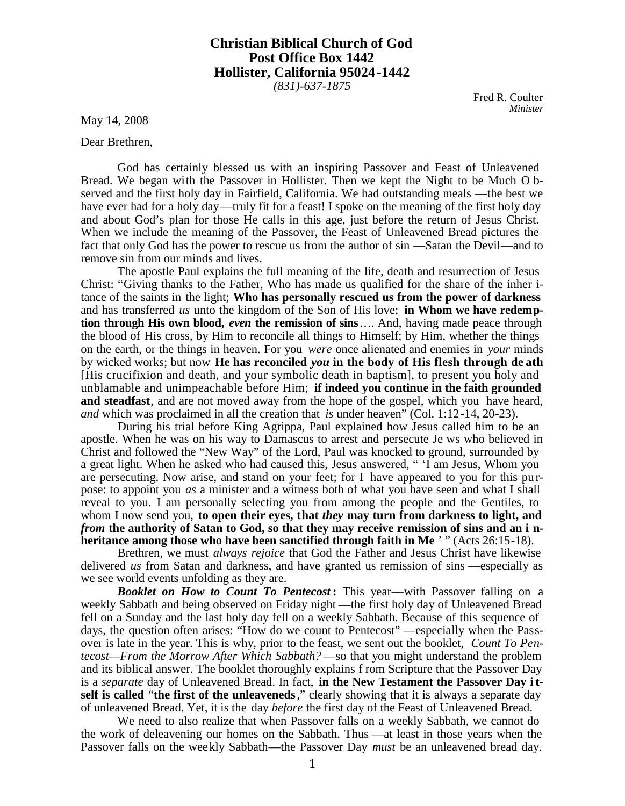## **Christian Biblical Church of God Post Office Box 1442 Hollister, California 95024-1442**

*(831)-637-1875*

Fred R. Coulter *Minister*

May 14, 2008

Dear Brethren,

God has certainly blessed us with an inspiring Passover and Feast of Unleavened Bread. We began with the Passover in Hollister. Then we kept the Night to be Much O bserved and the first holy day in Fairfield, California. We had outstanding meals —the best we have ever had for a holy day—truly fit for a feast! I spoke on the meaning of the first holy day and about God's plan for those He calls in this age, just before the return of Jesus Christ. When we include the meaning of the Passover, the Feast of Unleavened Bread pictures the fact that only God has the power to rescue us from the author of sin —Satan the Devil—and to remove sin from our minds and lives.

The apostle Paul explains the full meaning of the life, death and resurrection of Jesus Christ: "Giving thanks to the Father, Who has made us qualified for the share of the inher itance of the saints in the light; **Who has personally rescued us from the power of darkness** and has transferred *us* unto the kingdom of the Son of His love; **in Whom we have redemption through His own blood,** *even* **the remission of sins**…. And, having made peace through the blood of His cross, by Him to reconcile all things to Himself; by Him, whether the things on the earth, or the things in heaven. For you *were* once alienated and enemies in *your* minds by wicked works; but now **He has reconciled** *you* **in the body of His flesh through de ath** [His crucifixion and death, and your symbolic death in baptism], to present you holy and unblamable and unimpeachable before Him; **if indeed you continue in the faith grounded and steadfast**, and are not moved away from the hope of the gospel, which you have heard, *and* which was proclaimed in all the creation that *is* under heaven" (Col. 1:12-14, 20-23).

During his trial before King Agrippa, Paul explained how Jesus called him to be an apostle. When he was on his way to Damascus to arrest and persecute Je ws who believed in Christ and followed the "New Way" of the Lord, Paul was knocked to ground, surrounded by a great light. When he asked who had caused this, Jesus answered, " 'I am Jesus, Whom you are persecuting. Now arise, and stand on your feet; for I have appeared to you for this pu rpose: to appoint you *as* a minister and a witness both of what you have seen and what I shall reveal to you. I am personally selecting you from among the people and the Gentiles, to whom I now send you, **to open their eyes, that** *they* **may turn from darkness to light, and** *from* **the authority of Satan to God, so that they may receive remission of sins and an i nheritance among those who have been sanctified through faith in Me** ' " (Acts 26:15-18).

Brethren, we must *always rejoice* that God the Father and Jesus Christ have likewise delivered *us* from Satan and darkness, and have granted us remission of sins —especially as we see world events unfolding as they are.

*Booklet on How to Count To Pentecost* **:** This year—with Passover falling on a weekly Sabbath and being observed on Friday night —the first holy day of Unleavened Bread fell on a Sunday and the last holy day fell on a weekly Sabbath. Because of this sequence of days, the question often arises: "How do we count to Pentecost" —especially when the Passover is late in the year. This is why, prior to the feast, we sent out the booklet, *Count To Pentecost—From the Morrow After Which Sabbath?* —so that you might understand the problem and its biblical answer. The booklet thoroughly explains f rom Scripture that the Passover Day is a *separate* day of Unleavened Bread. In fact, **in the New Testament the Passover Day i tself is called** "**the first of the unleaveneds**," clearly showing that it is always a separate day of unleavened Bread. Yet, it is the day *before* the first day of the Feast of Unleavened Bread.

We need to also realize that when Passover falls on a weekly Sabbath, we cannot do the work of deleavening our homes on the Sabbath. Thus —at least in those years when the Passover falls on the weekly Sabbath—the Passover Day *must* be an unleavened bread day.

1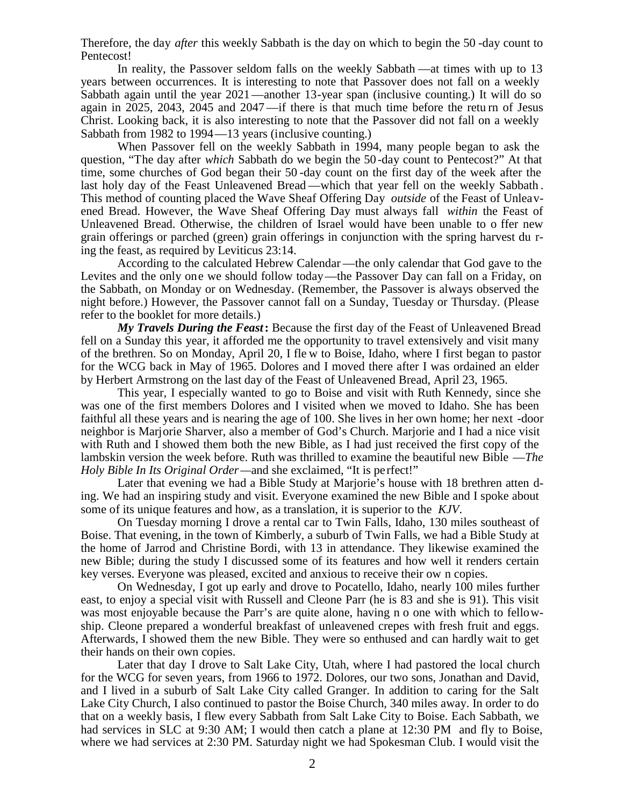Therefore, the day *after* this weekly Sabbath is the day on which to begin the 50 -day count to Pentecost!

In reality, the Passover seldom falls on the weekly Sabbath —at times with up to 13 years between occurrences. It is interesting to note that Passover does not fall on a weekly Sabbath again until the year 2021—another 13-year span (inclusive counting.) It will do so again in 2025, 2043, 2045 and 2047—if there is that much time before the retu rn of Jesus Christ. Looking back, it is also interesting to note that the Passover did not fall on a weekly Sabbath from 1982 to 1994—13 years (inclusive counting.)

When Passover fell on the weekly Sabbath in 1994, many people began to ask the question, "The day after *which* Sabbath do we begin the 50 -day count to Pentecost?" At that time, some churches of God began their 50 -day count on the first day of the week after the last holy day of the Feast Unleavened Bread —which that year fell on the weekly Sabbath . This method of counting placed the Wave Sheaf Offering Day *outside* of the Feast of Unleavened Bread. However, the Wave Sheaf Offering Day must always fall *within* the Feast of Unleavened Bread. Otherwise, the children of Israel would have been unable to o ffer new grain offerings or parched (green) grain offerings in conjunction with the spring harvest du ring the feast, as required by Leviticus 23:14.

According to the calculated Hebrew Calendar —the only calendar that God gave to the Levites and the only one we should follow today—the Passover Day can fall on a Friday, on the Sabbath, on Monday or on Wednesday. (Remember, the Passover is always observed the night before.) However, the Passover cannot fall on a Sunday, Tuesday or Thursday. (Please refer to the booklet for more details.)

*My Travels During the Feast***:** Because the first day of the Feast of Unleavened Bread fell on a Sunday this year, it afforded me the opportunity to travel extensively and visit many of the brethren. So on Monday, April 20, I fle w to Boise, Idaho, where I first began to pastor for the WCG back in May of 1965. Dolores and I moved there after I was ordained an elder by Herbert Armstrong on the last day of the Feast of Unleavened Bread, April 23, 1965.

This year, I especially wanted to go to Boise and visit with Ruth Kennedy, since she was one of the first members Dolores and I visited when we moved to Idaho. She has been faithful all these years and is nearing the age of 100. She lives in her own home; her next -door neighbor is Marjorie Sharver, also a member of God's Church. Marjorie and I had a nice visit with Ruth and I showed them both the new Bible, as I had just received the first copy of the lambskin version the week before. Ruth was thrilled to examine the beautiful new Bible —*The Holy Bible In Its Original Order—and she exclaimed, "It is perfect!"* 

Later that evening we had a Bible Study at Marjorie's house with 18 brethren atten ding. We had an inspiring study and visit. Everyone examined the new Bible and I spoke about some of its unique features and how, as a translation, it is superior to the *KJV*.

On Tuesday morning I drove a rental car to Twin Falls, Idaho, 130 miles southeast of Boise. That evening, in the town of Kimberly, a suburb of Twin Falls, we had a Bible Study at the home of Jarrod and Christine Bordi, with 13 in attendance. They likewise examined the new Bible; during the study I discussed some of its features and how well it renders certain key verses. Everyone was pleased, excited and anxious to receive their ow n copies.

On Wednesday, I got up early and drove to Pocatello, Idaho, nearly 100 miles further east, to enjoy a special visit with Russell and Cleone Parr (he is 83 and she is 91). This visit was most enjoyable because the Parr's are quite alone, having n o one with which to fellowship. Cleone prepared a wonderful breakfast of unleavened crepes with fresh fruit and eggs. Afterwards, I showed them the new Bible. They were so enthused and can hardly wait to get their hands on their own copies.

Later that day I drove to Salt Lake City, Utah, where I had pastored the local church for the WCG for seven years, from 1966 to 1972. Dolores, our two sons, Jonathan and David, and I lived in a suburb of Salt Lake City called Granger. In addition to caring for the Salt Lake City Church, I also continued to pastor the Boise Church, 340 miles away. In order to do that on a weekly basis, I flew every Sabbath from Salt Lake City to Boise. Each Sabbath, we had services in SLC at 9:30 AM; I would then catch a plane at 12:30 PM and fly to Boise, where we had services at 2:30 PM. Saturday night we had Spokesman Club. I would visit the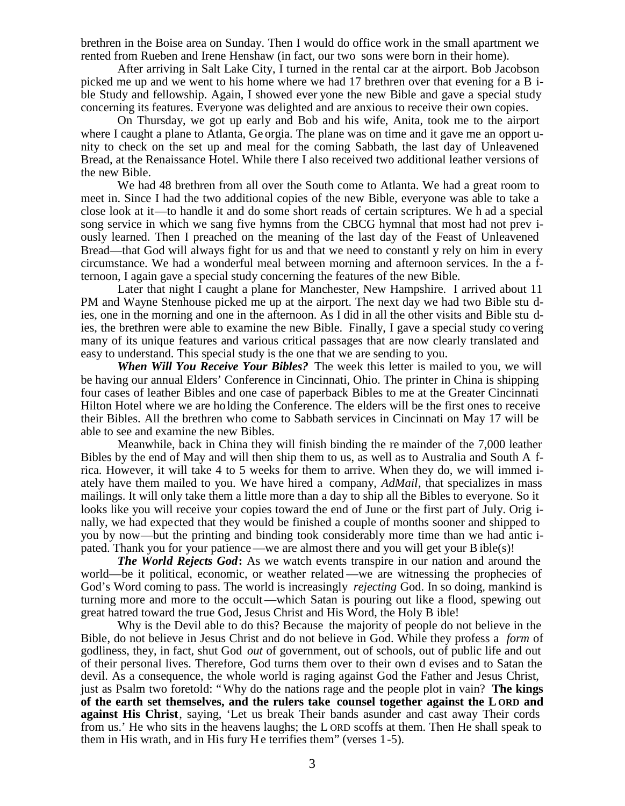brethren in the Boise area on Sunday. Then I would do office work in the small apartment we rented from Rueben and Irene Henshaw (in fact, our two sons were born in their home).

After arriving in Salt Lake City, I turned in the rental car at the airport. Bob Jacobson picked me up and we went to his home where we had 17 brethren over that evening for a B ible Study and fellowship. Again, I showed ever yone the new Bible and gave a special study concerning its features. Everyone was delighted and are anxious to receive their own copies.

On Thursday, we got up early and Bob and his wife, Anita, took me to the airport where I caught a plane to Atlanta, Ge orgia. The plane was on time and it gave me an opport unity to check on the set up and meal for the coming Sabbath, the last day of Unleavened Bread, at the Renaissance Hotel. While there I also received two additional leather versions of the new Bible.

We had 48 brethren from all over the South come to Atlanta. We had a great room to meet in. Since I had the two additional copies of the new Bible, everyone was able to take a close look at it—to handle it and do some short reads of certain scriptures. We h ad a special song service in which we sang five hymns from the CBCG hymnal that most had not prev iously learned. Then I preached on the meaning of the last day of the Feast of Unleavened Bread—that God will always fight for us and that we need to constantl y rely on him in every circumstance. We had a wonderful meal between morning and afternoon services. In the a fternoon, I again gave a special study concerning the features of the new Bible.

Later that night I caught a plane for Manchester, New Hampshire. I arrived about 11 PM and Wayne Stenhouse picked me up at the airport. The next day we had two Bible stu dies, one in the morning and one in the afternoon. As I did in all the other visits and Bible stu dies, the brethren were able to examine the new Bible. Finally, I gave a special study co vering many of its unique features and various critical passages that are now clearly translated and easy to understand. This special study is the one that we are sending to you.

*When Will You Receive Your Bibles?* The week this letter is mailed to you, we will be having our annual Elders' Conference in Cincinnati, Ohio. The printer in China is shipping four cases of leather Bibles and one case of paperback Bibles to me at the Greater Cincinnati Hilton Hotel where we are holding the Conference. The elders will be the first ones to receive their Bibles. All the brethren who come to Sabbath services in Cincinnati on May 17 will be able to see and examine the new Bibles.

Meanwhile, back in China they will finish binding the re mainder of the 7,000 leather Bibles by the end of May and will then ship them to us, as well as to Australia and South A frica. However, it will take 4 to 5 weeks for them to arrive. When they do, we will immed iately have them mailed to you. We have hired a company, *AdMail*, that specializes in mass mailings. It will only take them a little more than a day to ship all the Bibles to everyone. So it looks like you will receive your copies toward the end of June or the first part of July. Orig inally, we had expected that they would be finished a couple of months sooner and shipped to you by now—but the printing and binding took considerably more time than we had antic ipated. Thank you for your patience—we are almost there and you will get your B ible(s)!

*The World Rejects God***:** As we watch events transpire in our nation and around the world—be it political, economic, or weather related —we are witnessing the prophecies of God's Word coming to pass. The world is increasingly *rejecting* God. In so doing, mankind is turning more and more to the occult—which Satan is pouring out like a flood, spewing out great hatred toward the true God, Jesus Christ and His Word, the Holy B ible!

Why is the Devil able to do this? Because the majority of people do not believe in the Bible, do not believe in Jesus Christ and do not believe in God. While they profess a *form* of godliness, they, in fact, shut God *out* of government, out of schools, out of public life and out of their personal lives. Therefore, God turns them over to their own d evises and to Satan the devil. As a consequence, the whole world is raging against God the Father and Jesus Christ, just as Psalm two foretold: "Why do the nations rage and the people plot in vain? **The kings of the earth set themselves, and the rulers take counsel together against the L ORD and against His Christ**, saying, 'Let us break Their bands asunder and cast away Their cords from us.' He who sits in the heavens laughs; the L ORD scoffs at them. Then He shall speak to them in His wrath, and in His fury He terrifies them" (verses 1-5).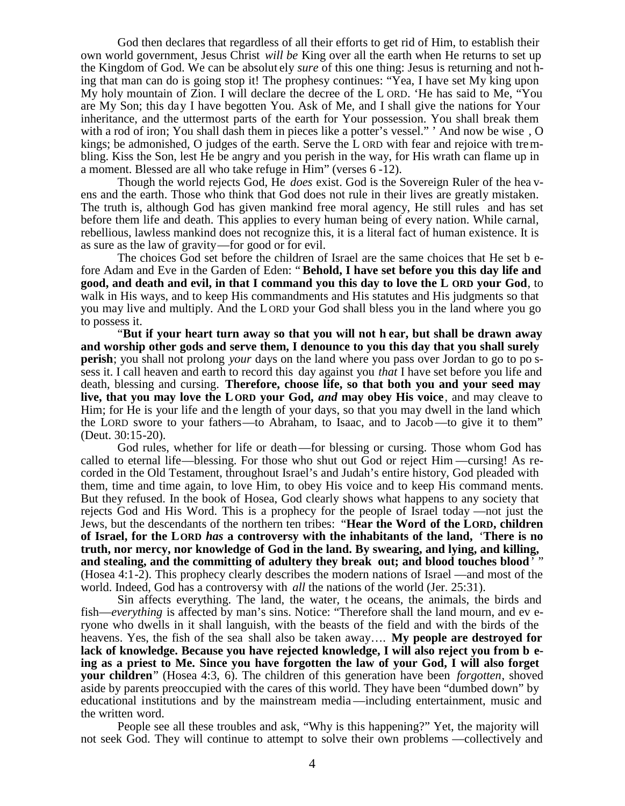God then declares that regardless of all their efforts to get rid of Him, to establish their own world government, Jesus Christ *will be* King over all the earth when He returns to set up the Kingdom of God. We can be absolut ely *sure* of this one thing: Jesus is returning and not hing that man can do is going stop it! The prophesy continues: "Yea, I have set My king upon My holy mountain of Zion. I will declare the decree of the L ORD. 'He has said to Me, "You are My Son; this day I have begotten You. Ask of Me, and I shall give the nations for Your inheritance, and the uttermost parts of the earth for Your possession. You shall break them with a rod of iron; You shall dash them in pieces like a potter's vessel." ' And now be wise , O kings; be admonished, O judges of the earth. Serve the L ORD with fear and rejoice with trembling. Kiss the Son, lest He be angry and you perish in the way, for His wrath can flame up in a moment. Blessed are all who take refuge in Him" (verses 6 -12).

Though the world rejects God, He *does* exist. God is the Sovereign Ruler of the hea vens and the earth. Those who think that God does not rule in their lives are greatly mistaken. The truth is, although God has given mankind free moral agency, He still rules and has set before them life and death. This applies to every human being of every nation. While carnal, rebellious, lawless mankind does not recognize this, it is a literal fact of human existence. It is as sure as the law of gravity—for good or for evil.

The choices God set before the children of Israel are the same choices that He set b efore Adam and Eve in the Garden of Eden: " **Behold, I have set before you this day life and good, and death and evil, in that I command you this day to love the L ORD your God**, to walk in His ways, and to keep His commandments and His statutes and His judgments so that you may live and multiply. And the L ORD your God shall bless you in the land where you go to possess it.

"**But if your heart turn away so that you will not h ear, but shall be drawn away and worship other gods and serve them, I denounce to you this day that you shall surely perish**; you shall not prolong *your* days on the land where you pass over Jordan to go to po ssess it. I call heaven and earth to record this day against you *that* I have set before you life and death, blessing and cursing. **Therefore, choose life, so that both you and your seed may live, that you may love the L ORD your God,** *and* **may obey His voice**, and may cleave to Him; for He is your life and the length of your days, so that you may dwell in the land which the LORD swore to your fathers—to Abraham, to Isaac, and to Jacob—to give it to them" (Deut. 30:15-20).

God rules, whether for life or death—for blessing or cursing. Those whom God has called to eternal life—blessing. For those who shut out God or reject Him —cursing! As recorded in the Old Testament, throughout Israel's and Judah's entire history, God pleaded with them, time and time again, to love Him, to obey His voice and to keep His command ments. But they refused. In the book of Hosea, God clearly shows what happens to any society that rejects God and His Word. This is a prophecy for the people of Israel today —not just the Jews, but the descendants of the northern ten tribes: "**Hear the Word of the LORD, children of Israel, for the LORD** *has* **a controversy with the inhabitants of the land,** '**There is no truth, nor mercy, nor knowledge of God in the land. By swearing, and lying, and killing, and stealing, and the committing of adultery they break out; and blood touches blood**' " (Hosea 4:1-2). This prophecy clearly describes the modern nations of Israel —and most of the world. Indeed, God has a controversy with *all* the nations of the world (Jer. 25:31).

Sin affects everything. The land, the water, t he oceans, the animals, the birds and fish—*everything* is affected by man's sins. Notice: "Therefore shall the land mourn, and ev eryone who dwells in it shall languish, with the beasts of the field and with the birds of the heavens. Yes, the fish of the sea shall also be taken away…. **My people are destroyed for lack of knowledge. Because you have rejected knowledge, I will also reject you from b eing as a priest to Me. Since you have forgotten the law of your God, I will also forget your children**" (Hosea 4:3, 6). The children of this generation have been *forgotten*, shoved aside by parents preoccupied with the cares of this world. They have been "dumbed down" by educational institutions and by the mainstream media —including entertainment, music and the written word.

People see all these troubles and ask, "Why is this happening?" Yet, the majority will not seek God. They will continue to attempt to solve their own problems —collectively and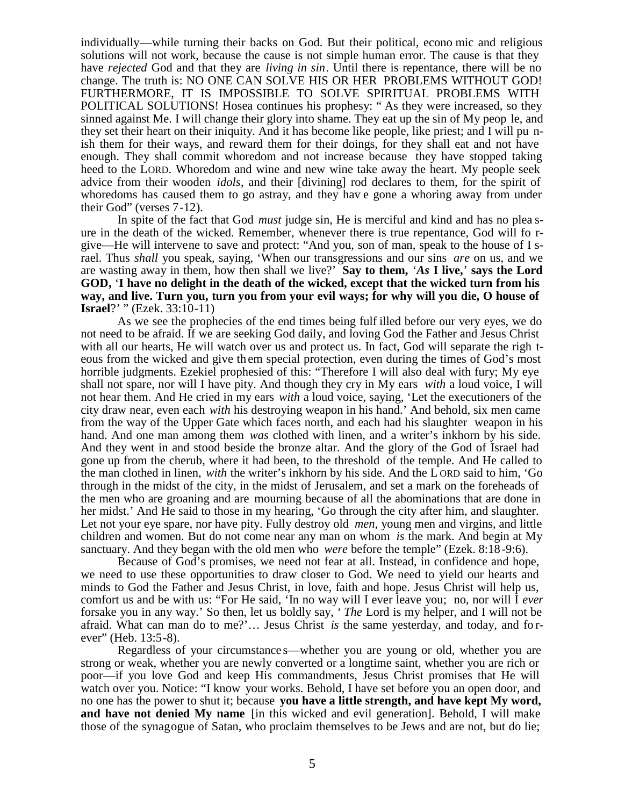individually—while turning their backs on God. But their political, econo mic and religious solutions will not work, because the cause is not simple human error. The cause is that they have *rejected* God and that they are *living in sin*. Until there is repentance, there will be no change. The truth is: NO ONE CAN SOLVE HIS OR HER PROBLEMS WITHOUT GOD! FURTHERMORE, IT IS IMPOSSIBLE TO SOLVE SPIRITUAL PROBLEMS WITH POLITICAL SOLUTIONS! Hosea continues his prophesy: " As they were increased, so they sinned against Me. I will change their glory into shame. They eat up the sin of My peop le, and they set their heart on their iniquity. And it has become like people, like priest; and I will pu nish them for their ways, and reward them for their doings, for they shall eat and not have enough. They shall commit whoredom and not increase because they have stopped taking heed to the LORD. Whoredom and wine and new wine take away the heart. My people seek advice from their wooden *idols*, and their [divining] rod declares to them, for the spirit of whoredoms has caused them to go astray, and they hav e gone a whoring away from under their God" (verses 7-12).

In spite of the fact that God *must* judge sin, He is merciful and kind and has no plea sure in the death of the wicked. Remember, whenever there is true repentance, God will fo rgive—He will intervene to save and protect: "And you, son of man, speak to the house of I srael. Thus *shall* you speak, saying, 'When our transgressions and our sins *are* on us, and we are wasting away in them, how then shall we live?' **Say to them,** '*As* **I live,**' **says the Lord GOD,** '**I have no delight in the death of the wicked, except that the wicked turn from his way, and live. Turn you, turn you from your evil ways; for why will you die, O house of Israel**?' " (Ezek. 33:10-11)

As we see the prophecies of the end times being fulf illed before our very eyes, we do not need to be afraid. If we are seeking God daily, and loving God the Father and Jesus Christ with all our hearts, He will watch over us and protect us. In fact, God will separate the righ teous from the wicked and give th em special protection, even during the times of God's most horrible judgments. Ezekiel prophesied of this: "Therefore I will also deal with fury; My eye shall not spare, nor will I have pity. And though they cry in My ears *with* a loud voice, I will not hear them. And He cried in my ears *with* a loud voice, saying, 'Let the executioners of the city draw near, even each *with* his destroying weapon in his hand.' And behold, six men came from the way of the Upper Gate which faces north, and each had his slaughter weapon in his hand. And one man among them *was* clothed with linen, and a writer's inkhorn by his side. And they went in and stood beside the bronze altar. And the glory of the God of Israel had gone up from the cherub, where it had been, to the threshold of the temple. And He called to the man clothed in linen, *with* the writer's inkhorn by his side. And the L ORD said to him, 'Go through in the midst of the city, in the midst of Jerusalem, and set a mark on the foreheads of the men who are groaning and are mourning because of all the abominations that are done in her midst.' And He said to those in my hearing, 'Go through the city after him, and slaughter. Let not your eye spare, nor have pity. Fully destroy old *men*, young men and virgins, and little children and women. But do not come near any man on whom *is* the mark. And begin at My sanctuary. And they began with the old men who *were* before the temple" (Ezek. 8:18 -9:6).

Because of God's promises, we need not fear at all. Instead, in confidence and hope, we need to use these opportunities to draw closer to God. We need to yield our hearts and minds to God the Father and Jesus Christ, in love, faith and hope. Jesus Christ will help us, comfort us and be with us: "For He said, 'In no way will I ever leave you; no, nor will I *ever* forsake you in any way.' So then, let us boldly say, ' *The* Lord is my helper, and I will not be afraid. What can man do to me?'… Jesus Christ *is* the same yesterday, and today, and fo rever" (Heb. 13:5-8).

Regardless of your circumstance s—whether you are young or old, whether you are strong or weak, whether you are newly converted or a longtime saint, whether you are rich or poor—if you love God and keep His commandments, Jesus Christ promises that He will watch over you. Notice: "I know your works. Behold, I have set before you an open door, and no one has the power to shut it; because **you have a little strength, and have kept My word, and have not denied My name** [in this wicked and evil generation]. Behold, I will make those of the synagogue of Satan, who proclaim themselves to be Jews and are not, but do lie;